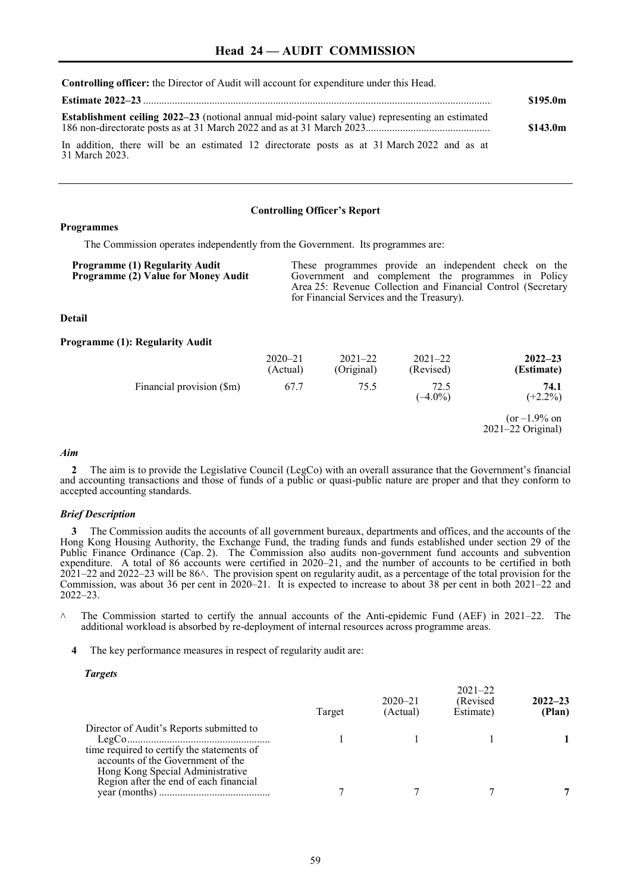**Controlling officer:** the Director of Audit will account for expenditure under this Head.

|                                                                                                              | \$195.0m |
|--------------------------------------------------------------------------------------------------------------|----------|
|                                                                                                              | \$143.0m |
| In addition, there will be an estimated 12 directorate posts as at 31 March 2022 and as at<br>31 March 2023. |          |

#### **Controlling Officer's Report**

### **Programmes**

The Commission operates independently from the Government. Its programmes are:

| These programmes provide an independent check on the<br>Government and complement the programmes in Policy<br>Area 25: Revenue Collection and Financial Control (Secretary<br>for Financial Services and the Treasury). |
|-------------------------------------------------------------------------------------------------------------------------------------------------------------------------------------------------------------------------|
|                                                                                                                                                                                                                         |
|                                                                                                                                                                                                                         |

# **Detail**

#### **Programme (1): Regularity Audit**

|                           | $2020 - 21$<br>(Actual) | $2021 - 22$<br>(Original) | $2021 - 22$<br>(Revised) | $2022 - 23$<br>(Estimate)                |
|---------------------------|-------------------------|---------------------------|--------------------------|------------------------------------------|
| Financial provision (\$m) | 67.7                    | 75.5                      | 72.5<br>$(-4.0\%)$       | 74.1<br>$(+2.2\%)$                       |
|                           |                         |                           |                          | $(or -1.9\% on$<br>$2021 - 22$ Original) |

### *Aim*

**2** The aim is to provide the Legislative Council (LegCo) with an overall assurance that the Government's financial and accounting transactions and those of funds of a public or quasi-public nature are proper and that they conform to accepted accounting standards.

### *Brief Description*

**3** The Commission audits the accounts of all government bureaux, departments and offices, and the accounts of the Hong Kong Housing Authority, the Exchange Fund, the trading funds and funds established under section 29 of the Public Finance Ordinance (Cap. 2). The Commission also audits non-government fund accounts and subvention expenditure. A total of 86 accounts were certified in 2020–21, and the number of accounts to be certified in both  $2021-22$  and  $2022-23$  will be  $86\land$ . The provision spent on regularity audit, as a percentage of the total provision for the Commission, was about 36 per cent in 2020–21. It is expected to increase to about 38 per cent in both 2021–22 and 2022–23.

- $\land$  The Commission started to certify the annual accounts of the Anti-epidemic Fund (AEF) in 2021–22. The additional workload is absorbed by re-deployment of internal resources across programme areas.
	- **4** The key performance measures in respect of regularity audit are:

### *Targets*

|                                                                                                                                                                 | Target | $2020 - 21$<br>(Actual) | $2021 - 22$<br>(Revised)<br>Estimate) | $2022 - 23$<br>(Plan) |
|-----------------------------------------------------------------------------------------------------------------------------------------------------------------|--------|-------------------------|---------------------------------------|-----------------------|
| Director of Audit's Reports submitted to<br>time required to certify the statements of<br>accounts of the Government of the<br>Hong Kong Special Administrative |        |                         |                                       |                       |
| Region after the end of each financial                                                                                                                          |        |                         |                                       |                       |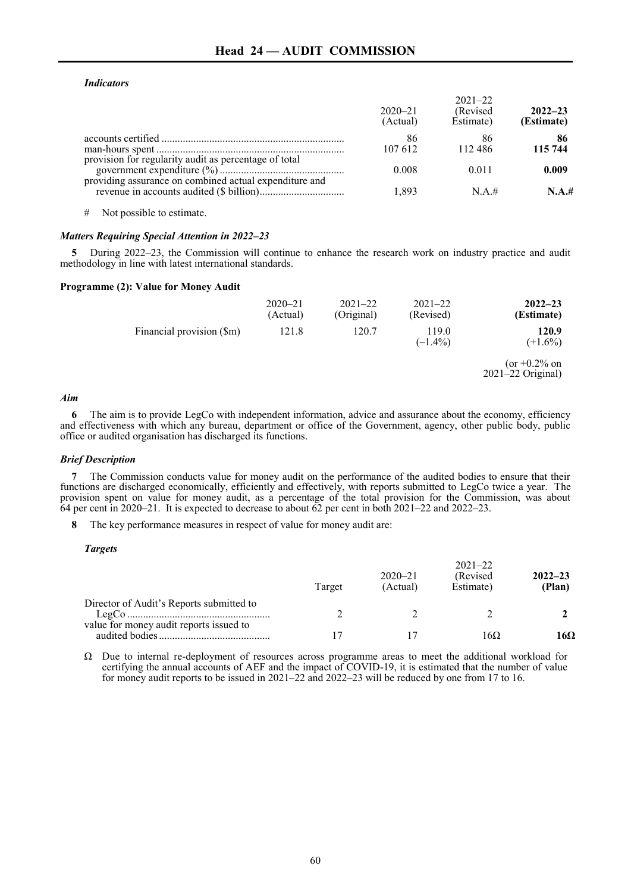# *Indicators*

|                                                        | $2020 - 21$<br>(Actual) | $2021 - 22$<br>(Revised)<br>Estimate) | $2022 - 23$<br>(Estimate) |
|--------------------------------------------------------|-------------------------|---------------------------------------|---------------------------|
| provision for regularity audit as percentage of total  | 86<br>107 612           | 86<br>112486                          | 86<br>115 744             |
|                                                        | 0.008                   | 0.011                                 | 0.009                     |
| providing assurance on combined actual expenditure and | 1.893                   | N.A.#                                 | N.A.#                     |

# Not possible to estimate.

# *Matters Requiring Special Attention in 2022–23*

**5** During 2022–23, the Commission will continue to enhance the research work on industry practice and audit methodology in line with latest international standards.

### **Programme (2): Value for Money Audit**

|                           | $2020 - 21$<br>(Actual) | $2021 - 22$<br>(Original) | $2021 - 22$<br>(Revised) | $2022 - 23$<br>(Estimate)              |
|---------------------------|-------------------------|---------------------------|--------------------------|----------------------------------------|
| Financial provision (\$m) | 121.8                   | 120.7                     | 119.0<br>$(-1.4\%)$      | 120.9<br>$(+1.6\%)$                    |
|                           |                         |                           |                          | $(or +0.2\% on$<br>$2021-22$ Original) |

#### *Aim*

**6** The aim is to provide LegCo with independent information, advice and assurance about the economy, efficiency and effectiveness with which any bureau, department or office of the Government, agency, other public body, public office or audited organisation has discharged its functions.

# *Brief Description*

**7** The Commission conducts value for money audit on the performance of the audited bodies to ensure that their functions are discharged economically, efficiently and effectively, with reports submitted to LegCo twice a year. The provision spent on value for money audit, as a percentage of the total provision for the Commission, was about 64 per cent in 2020–21. It is expected to decrease to about 62 per cent in both 2021–22 and 2022–23.

**8** The key performance measures in respect of value for money audit are:

### *Targets*

|                                          | Target | $2020 - 21$<br>(Actual) | $2021 - 22$<br>(Revised)<br>Estimate) | $2022 - 23$<br>(Plan) |
|------------------------------------------|--------|-------------------------|---------------------------------------|-----------------------|
| Director of Audit's Reports submitted to |        |                         |                                       |                       |
| value for money audit reports issued to  |        |                         | 16Ω                                   | 16Ω                   |

Ω Due to internal re-deployment of resources across programme areas to meet the additional workload for certifying the annual accounts of AEF and the impact of COVID-19, it is estimated that the number of value for money audit reports to be issued in 2021–22 and 2022–23 will be reduced by one from 17 to 16.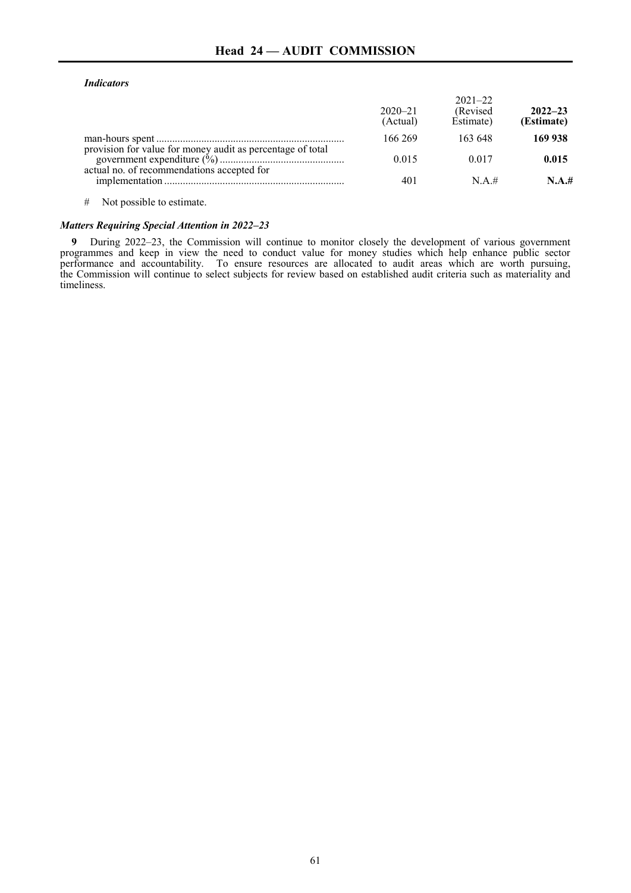# **Head 24 — AUDIT COMMISSION**

### *Indicators*

|                                                                                                          | $2020 - 21$<br>(Actual) | $2021 - 22$<br>(Revised)<br>Estimate) | $2022 - 23$<br>(Estimate) |
|----------------------------------------------------------------------------------------------------------|-------------------------|---------------------------------------|---------------------------|
|                                                                                                          | 166 269                 | 163 648                               | 169 938                   |
| provision for value for money audit as percentage of total<br>actual no. of recommendations accepted for | 0.015                   | 0.017                                 | 0.015                     |
|                                                                                                          | 401                     | N.A.#                                 | N.A.#                     |
|                                                                                                          |                         |                                       |                           |

# Not possible to estimate.

# *Matters Requiring Special Attention in 2022–23*

**9** During 2022–23, the Commission will continue to monitor closely the development of various government programmes and keep in view the need to conduct value for money studies which help enhance public sector performance and accountability. To ensure resources are allocated to audit areas which are worth pursuing, the Commission will continue to select subjects for review based on established audit criteria such as materiality and timeliness.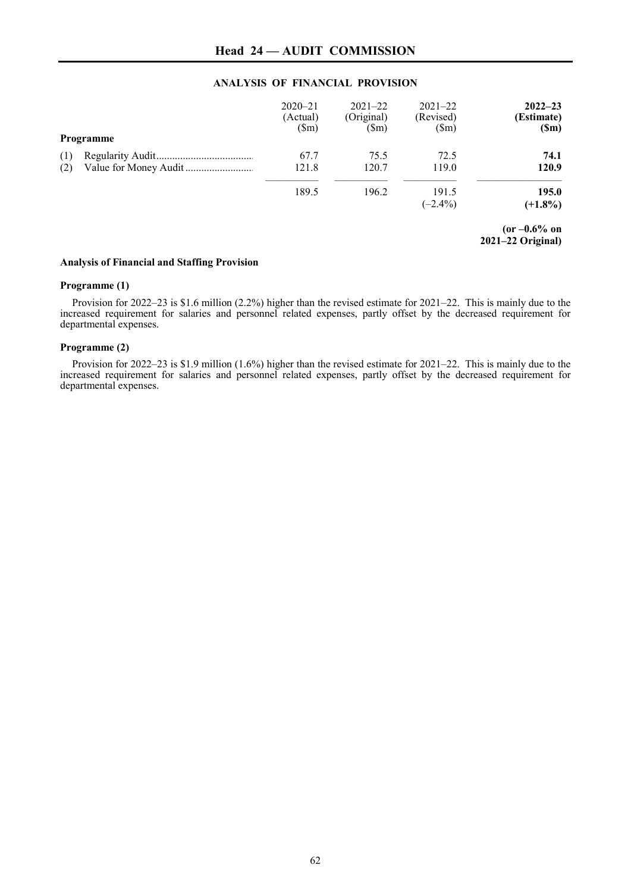# **ANALYSIS OF FINANCIAL PROVISION**

|     | Programme | $2020 - 21$<br>(Actual)<br>$(\text{Sm})$ | $2021 - 22$<br>(Original)<br>$(\text{Sm})$ | $2021 - 22$<br>(Revised)<br>$(\text{Sm})$ | $2022 - 23$<br>(Estimate)<br>(Sm)      |
|-----|-----------|------------------------------------------|--------------------------------------------|-------------------------------------------|----------------------------------------|
| (1) |           | 67.7                                     | 75.5                                       | 72.5                                      | 74.1                                   |
| (2) |           | 121.8                                    | 120.7                                      | 119.0                                     | 120.9                                  |
|     |           | 189.5                                    | 196.2                                      | 191.5                                     | 195.0                                  |
|     |           |                                          |                                            | $(-2.4\%)$                                | $(+1.8\%)$                             |
|     |           |                                          |                                            |                                           | $(or -0.6\% on$<br>$2021-22$ Original) |

**Analysis of Financial and Staffing Provision**

### **Programme (1)**

Provision for 2022–23 is \$1.6 million (2.2%) higher than the revised estimate for 2021–22. This is mainly due to the increased requirement for salaries and personnel related expenses, partly offset by the decreased requirement for departmental expenses.

### **Programme (2)**

Provision for 2022–23 is \$1.9 million (1.6%) higher than the revised estimate for 2021–22. This is mainly due to the increased requirement for salaries and personnel related expenses, partly offset by the decreased requirement for departmental expenses.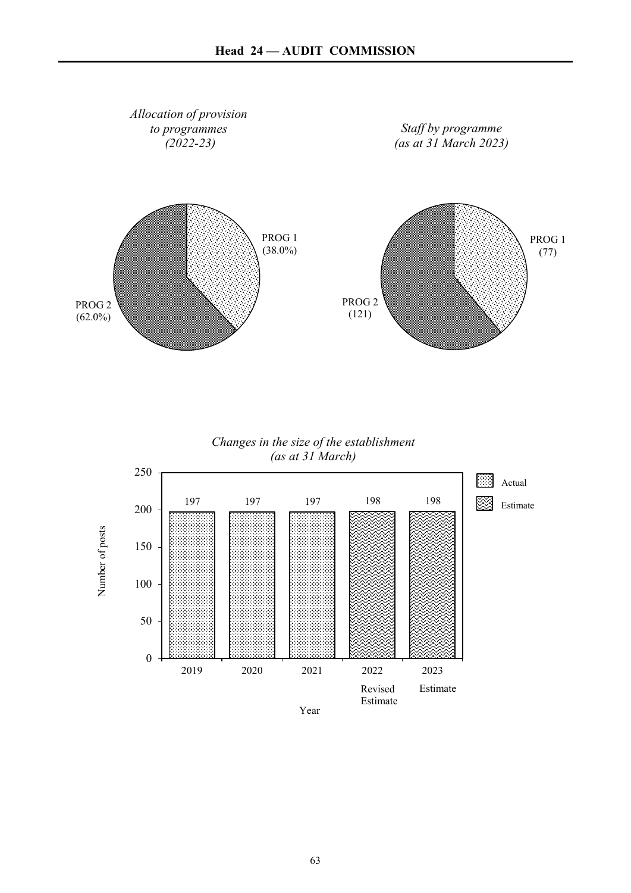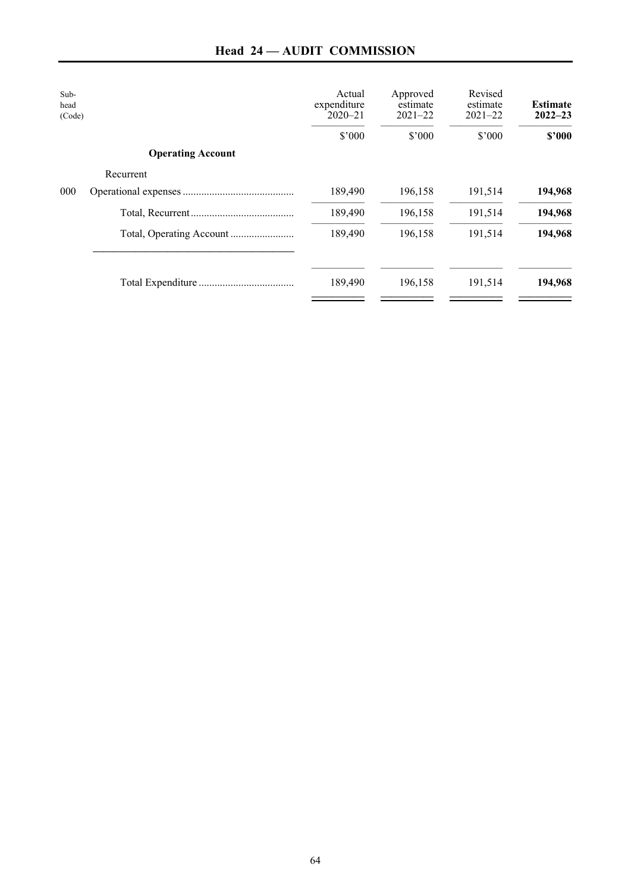| Sub-<br>head<br>(Code) |                          | Actual<br>expenditure<br>$2020 - 21$ | Approved<br>estimate<br>$2021 - 22$ | Revised<br>estimate<br>$2021 - 22$ | <b>Estimate</b><br>$2022 - 23$ |
|------------------------|--------------------------|--------------------------------------|-------------------------------------|------------------------------------|--------------------------------|
|                        |                          | \$'000                               | \$'000                              | \$'000                             | \$2000                         |
|                        | <b>Operating Account</b> |                                      |                                     |                                    |                                |
|                        | Recurrent                |                                      |                                     |                                    |                                |
| 000                    |                          | 189,490                              | 196,158                             | 191,514                            | 194,968                        |
|                        |                          | 189,490                              | 196,158                             | 191,514                            | 194,968                        |
|                        |                          | 189,490                              | 196,158                             | 191,514                            | 194,968                        |
|                        |                          | 189,490                              | 196,158                             | 191,514                            | 194,968                        |